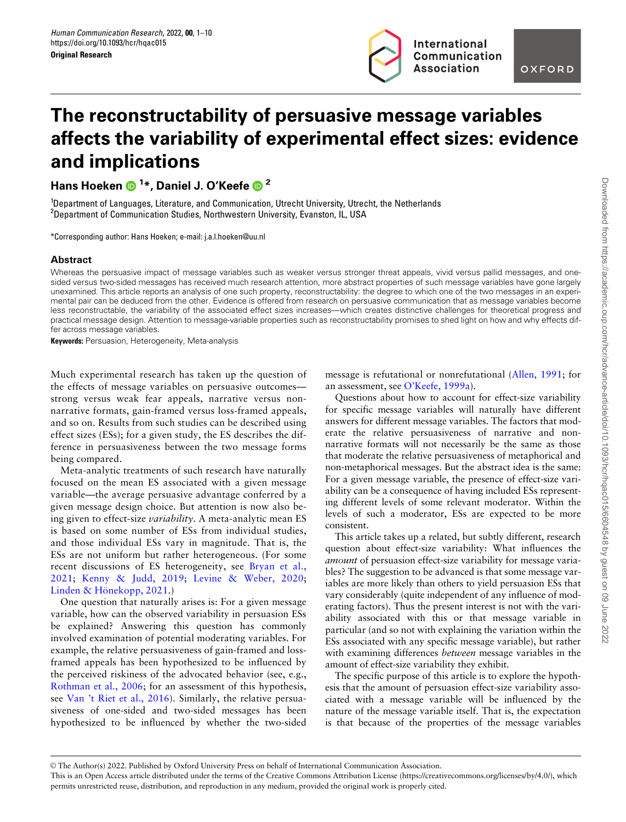

# The reconstructability of persuasive message variables affects the variability of experimental effect sizes: evidence and implications

Hans Hoeken <sup>1</sup> \*, Daniel J. O'Keefe <sup>2</sup>

1 Department of Languages, Literature, and Communication, Utrecht University, Utrecht, the Netherlands 2 Department of Communication Studies, Northwestern University, Evanston, IL, USA

\*Corresponding author: Hans Hoeken; e-mail: j.a.l.hoeken@uu.nl

### Abstract

Whereas the persuasive impact of message variables such as weaker versus stronger threat appeals, vivid versus pallid messages, and onesided versus two-sided messages has received much research attention, more abstract properties of such message variables have gone largely unexamined. This article reports an analysis of one such property, reconstructability: the degree to which one of the two messages in an experimental pair can be deduced from the other. Evidence is offered from research on persuasive communication that as message variables become less reconstructable, the variability of the associated effect sizes increases—which creates distinctive challenges for theoretical progress and practical message design. Attention to message-variable properties such as reconstructability promises to shed light on how and why effects differ across message variables.

Keywords: Persuasion, Heterogeneity, Meta-analysis

Much experimental research has taken up the question of the effects of message variables on persuasive outcomes strong versus weak fear appeals, narrative versus nonnarrative formats, gain-framed versus loss-framed appeals, and so on. Results from such studies can be described using effect sizes (ESs); for a given study, the ES describes the difference in persuasiveness between the two message forms being compared.

Meta-analytic treatments of such research have naturally focused on the mean ES associated with a given message variable—the average persuasive advantage conferred by a given message design choice. But attention is now also being given to effect-size variability. A meta-analytic mean ES is based on some number of ESs from individual studies, and those individual ESs vary in magnitude. That is, the ESs are not uniform but rather heterogeneous. (For some recent discussions of ES heterogeneity, see [Bryan et al.,](#page-8-0) [2021](#page-8-0); [Kenny & Judd, 2019](#page-8-0); [Levine](#page-8-0) & [Weber, 2020;](#page-8-0) [Linden](#page-9-0) & Hönekopp, 2021.)

One question that naturally arises is: For a given message variable, how can the observed variability in persuasion ESs be explained? Answering this question has commonly involved examination of potential moderating variables. For example, the relative persuasiveness of gain-framed and lossframed appeals has been hypothesized to be influenced by the perceived riskiness of the advocated behavior (see, e.g., [Rothman et al., 2006](#page-9-0); for an assessment of this hypothesis, see [Van 't Riet et al., 2016](#page-9-0)). Similarly, the relative persuasiveness of one-sided and two-sided messages has been hypothesized to be influenced by whether the two-sided

message is refutational or nonrefutational ([Allen, 1991](#page-8-0); for an assessment, see [O'Keefe, 1999a](#page-9-0)).

Questions about how to account for effect-size variability for specific message variables will naturally have different answers for different message variables. The factors that moderate the relative persuasiveness of narrative and nonnarrative formats will not necessarily be the same as those that moderate the relative persuasiveness of metaphorical and non-metaphorical messages. But the abstract idea is the same: For a given message variable, the presence of effect-size variability can be a consequence of having included ESs representing different levels of some relevant moderator. Within the levels of such a moderator, ESs are expected to be more consistent.

This article takes up a related, but subtly different, research question about effect-size variability: What influences the amount of persuasion effect-size variability for message variables? The suggestion to be advanced is that some message variables are more likely than others to yield persuasion ESs that vary considerably (quite independent of any influence of moderating factors). Thus the present interest is not with the variability associated with this or that message variable in particular (and so not with explaining the variation within the ESs associated with any specific message variable), but rather with examining differences between message variables in the amount of effect-size variability they exhibit.

The specific purpose of this article is to explore the hypothesis that the amount of persuasion effect-size variability associated with a message variable will be influenced by the nature of the message variable itself. That is, the expectation is that because of the properties of the message variables

V<sup>C</sup> The Author(s) 2022. Published by Oxford University Press on behalf of International Communication Association.

This is an Open Access article distributed under the terms of the Creative Commons Attribution License (https://creativecommons.org/licenses/by/4.0/), which permits unrestricted reuse, distribution, and reproduction in any medium, provided the original work is properly cited.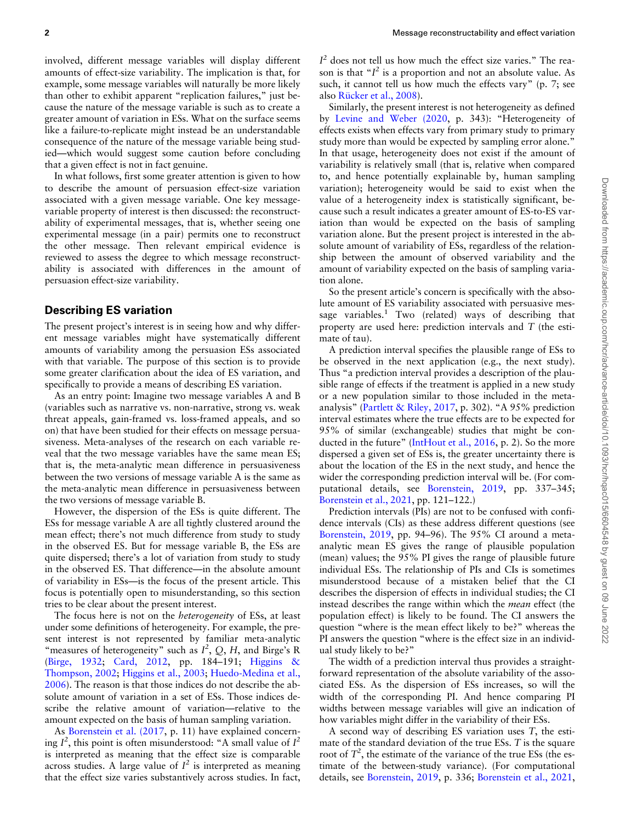involved, different message variables will display different amounts of effect-size variability. The implication is that, for example, some message variables will naturally be more likely than other to exhibit apparent "replication failures," just because the nature of the message variable is such as to create a greater amount of variation in ESs. What on the surface seems like a failure-to-replicate might instead be an understandable consequence of the nature of the message variable being studied—which would suggest some caution before concluding that a given effect is not in fact genuine.

In what follows, first some greater attention is given to how to describe the amount of persuasion effect-size variation associated with a given message variable. One key messagevariable property of interest is then discussed: the reconstructability of experimental messages, that is, whether seeing one experimental message (in a pair) permits one to reconstruct the other message. Then relevant empirical evidence is reviewed to assess the degree to which message reconstructability is associated with differences in the amount of persuasion effect-size variability.

# Describing ES variation

The present project's interest is in seeing how and why different message variables might have systematically different amounts of variability among the persuasion ESs associated with that variable. The purpose of this section is to provide some greater clarification about the idea of ES variation, and specifically to provide a means of describing ES variation.

As an entry point: Imagine two message variables A and B (variables such as narrative vs. non-narrative, strong vs. weak threat appeals, gain-framed vs. loss-framed appeals, and so on) that have been studied for their effects on message persuasiveness. Meta-analyses of the research on each variable reveal that the two message variables have the same mean ES; that is, the meta-analytic mean difference in persuasiveness between the two versions of message variable A is the same as the meta-analytic mean difference in persuasiveness between the two versions of message variable B.

However, the dispersion of the ESs is quite different. The ESs for message variable A are all tightly clustered around the mean effect; there's not much difference from study to study in the observed ES. But for message variable B, the ESs are quite dispersed; there's a lot of variation from study to study in the observed ES. That difference—in the absolute amount of variability in ESs—is the focus of the present article. This focus is potentially open to misunderstanding, so this section tries to be clear about the present interest.

The focus here is not on the *heterogeneity* of ESs, at least under some definitions of heterogeneity. For example, the present interest is not represented by familiar meta-analytic "measures of heterogeneity" such as  $I^2$ , Q, H, and Birge's R ([Birge, 1932](#page-8-0); [Card, 2012,](#page-8-0) pp. 184–191; [Higgins](#page-8-0) & [Thompson, 2002](#page-8-0); [Higgins et al., 2003](#page-8-0); [Huedo-Medina et al.,](#page-8-0) [2006\)](#page-8-0). The reason is that those indices do not describe the absolute amount of variation in a set of ESs. Those indices describe the relative amount of variation—relative to the amount expected on the basis of human sampling variation.

As [Borenstein et al. \(2017](#page-8-0), p. 11) have explained concerning  $I^2$ , this point is often misunderstood: "A small value of  $I^2$ is interpreted as meaning that the effect size is comparable across studies. A large value of  $I^2$  is interpreted as meaning that the effect size varies substantively across studies. In fact,

 $I<sup>2</sup>$  does not tell us how much the effect size varies." The reason is that " $I^2$  is a proportion and not an absolute value. As such, it cannot tell us how much the effects vary" (p. 7; see also Rücker et al., 2008).

Similarly, the present interest is not heterogeneity as defined by [Levine and Weber \(2020,](#page-8-0) p. 343): "Heterogeneity of effects exists when effects vary from primary study to primary study more than would be expected by sampling error alone." In that usage, heterogeneity does not exist if the amount of variability is relatively small (that is, relative when compared to, and hence potentially explainable by, human sampling variation); heterogeneity would be said to exist when the value of a heterogeneity index is statistically significant, because such a result indicates a greater amount of ES-to-ES variation than would be expected on the basis of sampling variation alone. But the present project is interested in the absolute amount of variability of ESs, regardless of the relationship between the amount of observed variability and the amount of variability expected on the basis of sampling variation alone.

So the present article's concern is specifically with the absolute amount of ES variability associated with persuasive message variables.<sup>1</sup> Two (related) ways of describing that property are used here: prediction intervals and T (the estimate of tau).

A prediction interval specifies the plausible range of ESs to be observed in the next application (e.g., the next study). Thus "a prediction interval provides a description of the plausible range of effects if the treatment is applied in a new study or a new population similar to those included in the metaanalysis" [\(Partlett](#page-9-0) [& Riley, 2017](#page-9-0), p. 302). "A 95% prediction interval estimates where the true effects are to be expected for 95% of similar (exchangeable) studies that might be conducted in the future" [\(IntHout et al., 2016](#page-8-0), p. 2). So the more dispersed a given set of ESs is, the greater uncertainty there is about the location of the ES in the next study, and hence the wider the corresponding prediction interval will be. (For computational details, see [Borenstein, 2019,](#page-8-0) pp. 337–345; [Borenstein et al., 2021,](#page-8-0) pp. 121–122.)

Prediction intervals (PIs) are not to be confused with confidence intervals (CIs) as these address different questions (see [Borenstein, 2019](#page-8-0), pp. 94–96). The 95% CI around a metaanalytic mean ES gives the range of plausible population (mean) values; the 95% PI gives the range of plausible future individual ESs. The relationship of PIs and CIs is sometimes misunderstood because of a mistaken belief that the CI describes the dispersion of effects in individual studies; the CI instead describes the range within which the mean effect (the population effect) is likely to be found. The CI answers the question "where is the mean effect likely to be?" whereas the PI answers the question "where is the effect size in an individual study likely to be?"

The width of a prediction interval thus provides a straightforward representation of the absolute variability of the associated ESs. As the dispersion of ESs increases, so will the width of the corresponding PI. And hence comparing PI widths between message variables will give an indication of how variables might differ in the variability of their ESs.

A second way of describing ES variation uses T, the estimate of the standard deviation of the true ESs. T is the square root of  $T^2$ , the estimate of the variance of the true ESs (the estimate of the between-study variance). (For computational details, see [Borenstein, 2019](#page-8-0), p. 336; [Borenstein et al., 2021,](#page-8-0)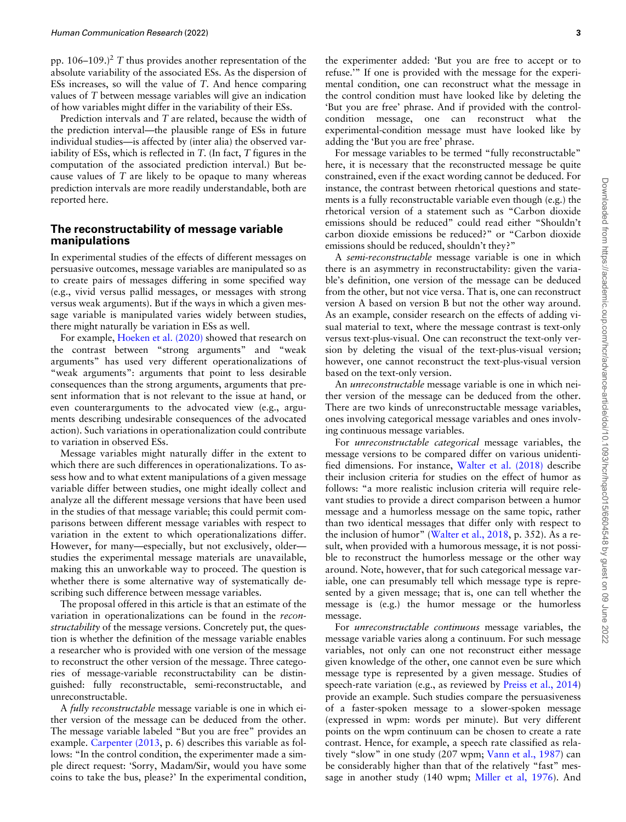pp.  $106-109$ .)<sup>2</sup> T thus provides another representation of the absolute variability of the associated ESs. As the dispersion of ESs increases, so will the value of T. And hence comparing values of T between message variables will give an indication of how variables might differ in the variability of their ESs.

Prediction intervals and T are related, because the width of the prediction interval—the plausible range of ESs in future individual studies—is affected by (inter alia) the observed variability of ESs, which is reflected in  $T$ . (In fact,  $T$  figures in the computation of the associated prediction interval.) But because values of  $T$  are likely to be opaque to many whereas prediction intervals are more readily understandable, both are reported here.

# The reconstructability of message variable manipulations

In experimental studies of the effects of different messages on persuasive outcomes, message variables are manipulated so as to create pairs of messages differing in some specified way (e.g., vivid versus pallid messages, or messages with strong versus weak arguments). But if the ways in which a given message variable is manipulated varies widely between studies, there might naturally be variation in ESs as well.

For example, [Hoeken et al. \(2020\)](#page-8-0) showed that research on the contrast between "strong arguments" and "weak arguments" has used very different operationalizations of "weak arguments": arguments that point to less desirable consequences than the strong arguments, arguments that present information that is not relevant to the issue at hand, or even counterarguments to the advocated view (e.g., arguments describing undesirable consequences of the advocated action). Such variations in operationalization could contribute to variation in observed ESs.

Message variables might naturally differ in the extent to which there are such differences in operationalizations. To assess how and to what extent manipulations of a given message variable differ between studies, one might ideally collect and analyze all the different message versions that have been used in the studies of that message variable; this could permit comparisons between different message variables with respect to variation in the extent to which operationalizations differ. However, for many—especially, but not exclusively, older studies the experimental message materials are unavailable, making this an unworkable way to proceed. The question is whether there is some alternative way of systematically describing such difference between message variables.

The proposal offered in this article is that an estimate of the variation in operationalizations can be found in the reconstructability of the message versions. Concretely put, the question is whether the definition of the message variable enables a researcher who is provided with one version of the message to reconstruct the other version of the message. Three categories of message-variable reconstructability can be distinguished: fully reconstructable, semi-reconstructable, and unreconstructable.

A fully reconstructable message variable is one in which either version of the message can be deduced from the other. The message variable labeled "But you are free" provides an example. [Carpenter \(2013,](#page-8-0) p. 6) describes this variable as follows: "In the control condition, the experimenter made a simple direct request: 'Sorry, Madam/Sir, would you have some coins to take the bus, please?' In the experimental condition, the experimenter added: 'But you are free to accept or to refuse.'" If one is provided with the message for the experimental condition, one can reconstruct what the message in the control condition must have looked like by deleting the 'But you are free' phrase. And if provided with the controlcondition message, one can reconstruct what the experimental-condition message must have looked like by adding the 'But you are free' phrase.

For message variables to be termed "fully reconstructable" here, it is necessary that the reconstructed message be quite constrained, even if the exact wording cannot be deduced. For instance, the contrast between rhetorical questions and statements is a fully reconstructable variable even though (e.g.) the rhetorical version of a statement such as "Carbon dioxide emissions should be reduced" could read either "Shouldn't carbon dioxide emissions be reduced?" or "Carbon dioxide emissions should be reduced, shouldn't they?"

A semi-reconstructable message variable is one in which there is an asymmetry in reconstructability: given the variable's definition, one version of the message can be deduced from the other, but not vice versa. That is, one can reconstruct version A based on version B but not the other way around. As an example, consider research on the effects of adding visual material to text, where the message contrast is text-only versus text-plus-visual. One can reconstruct the text-only version by deleting the visual of the text-plus-visual version; however, one cannot reconstruct the text-plus-visual version based on the text-only version.

An unreconstructable message variable is one in which neither version of the message can be deduced from the other. There are two kinds of unreconstructable message variables, ones involving categorical message variables and ones involving continuous message variables.

For unreconstructable categorical message variables, the message versions to be compared differ on various unidentified dimensions. For instance, [Walter et al. \(2018\)](#page-9-0) describe their inclusion criteria for studies on the effect of humor as follows: "a more realistic inclusion criteria will require relevant studies to provide a direct comparison between a humor message and a humorless message on the same topic, rather than two identical messages that differ only with respect to the inclusion of humor" ([Walter et al., 2018,](#page-9-0) p. 352). As a result, when provided with a humorous message, it is not possible to reconstruct the humorless message or the other way around. Note, however, that for such categorical message variable, one can presumably tell which message type is represented by a given message; that is, one can tell whether the message is (e.g.) the humor message or the humorless message.

For unreconstructable continuous message variables, the message variable varies along a continuum. For such message variables, not only can one not reconstruct either message given knowledge of the other, one cannot even be sure which message type is represented by a given message. Studies of speech-rate variation (e.g., as reviewed by [Preiss et al., 2014\)](#page-9-0) provide an example. Such studies compare the persuasiveness of a faster-spoken message to a slower-spoken message (expressed in wpm: words per minute). But very different points on the wpm continuum can be chosen to create a rate contrast. Hence, for example, a speech rate classified as relatively "slow" in one study (207 wpm; [Vann et al., 1987](#page-9-0)) can be considerably higher than that of the relatively "fast" message in another study (140 wpm; [Miller et al, 1976](#page-9-0)). And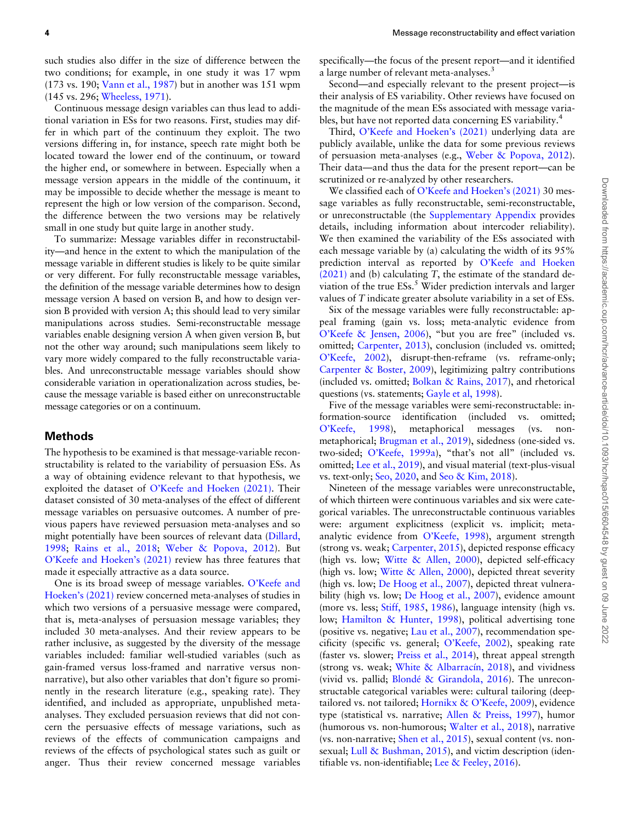such studies also differ in the size of difference between the two conditions; for example, in one study it was 17 wpm (173 vs. 190; [Vann et al., 1987\)](#page-9-0) but in another was 151 wpm (145 vs. 296; [Wheeless, 1971\)](#page-9-0).

Continuous message design variables can thus lead to additional variation in ESs for two reasons. First, studies may differ in which part of the continuum they exploit. The two versions differing in, for instance, speech rate might both be located toward the lower end of the continuum, or toward the higher end, or somewhere in between. Especially when a message version appears in the middle of the continuum, it may be impossible to decide whether the message is meant to represent the high or low version of the comparison. Second, the difference between the two versions may be relatively small in one study but quite large in another study.

To summarize: Message variables differ in reconstructability—and hence in the extent to which the manipulation of the message variable in different studies is likely to be quite similar or very different. For fully reconstructable message variables, the definition of the message variable determines how to design message version A based on version B, and how to design version B provided with version A; this should lead to very similar manipulations across studies. Semi-reconstructable message variables enable designing version A when given version B, but not the other way around; such manipulations seem likely to vary more widely compared to the fully reconstructable variables. And unreconstructable message variables should show considerable variation in operationalization across studies, because the message variable is based either on unreconstructable message categories or on a continuum.

# Methods

The hypothesis to be examined is that message-variable reconstructability is related to the variability of persuasion ESs. As a way of obtaining evidence relevant to that hypothesis, we exploited the dataset of [O'Keefe and Hoeken \(2021\)](#page-9-0). Their dataset consisted of 30 meta-analyses of the effect of different message variables on persuasive outcomes. A number of previous papers have reviewed persuasion meta-analyses and so might potentially have been sources of relevant data [\(Dillard,](#page-8-0) [1998;](#page-8-0) [Rains et al., 2018](#page-9-0); [Weber & Popova, 2012](#page-9-0)). But [O'Keefe and Hoeken's \(2021\)](#page-9-0) review has three features that made it especially attractive as a data source.

One is its broad sweep of message variables. [O'Keefe and](#page-9-0) [Hoeken's \(2021\)](#page-9-0) review concerned meta-analyses of studies in which two versions of a persuasive message were compared, that is, meta-analyses of persuasion message variables; they included 30 meta-analyses. And their review appears to be rather inclusive, as suggested by the diversity of the message variables included: familiar well-studied variables (such as gain-framed versus loss-framed and narrative versus nonnarrative), but also other variables that don't figure so prominently in the research literature (e.g., speaking rate). They identified, and included as appropriate, unpublished metaanalyses. They excluded persuasion reviews that did not concern the persuasive effects of message variations, such as reviews of the effects of communication campaigns and reviews of the effects of psychological states such as guilt or anger. Thus their review concerned message variables

specifically—the focus of the present report—and it identified a large number of relevant meta-analyses.<sup>3</sup>

Second—and especially relevant to the present project—is their analysis of ES variability. Other reviews have focused on the magnitude of the mean ESs associated with message variables, but have not reported data concerning ES variability.<sup>4</sup>

Third, [O'Keefe and Hoeken's \(2021\)](#page-9-0) underlying data are publicly available, unlike the data for some previous reviews of persuasion meta-analyses (e.g., [Weber & Popova, 2012\)](#page-9-0). Their data—and thus the data for the present report—can be scrutinized or re-analyzed by other researchers.

We classified each of [O'Keefe and Hoeken's \(2021\)](#page-9-0) 30 message variables as fully reconstructable, semi-reconstructable, or unreconstructable (the [Supplementary Appendix](https://academic.oup.com/hcr/article-lookup/doi/10.1093/hcr/hqac015#supplementary-data) provides details, including information about intercoder reliability). We then examined the variability of the ESs associated with each message variable by (a) calculating the width of its 95% prediction interval as reported by [O'Keefe and Hoeken](#page-9-0)  $(2021)$  and (b) calculating T, the estimate of the standard deviation of the true  $ESS$ <sup>5</sup> Wider prediction intervals and larger values of T indicate greater absolute variability in a set of ESs.

Six of the message variables were fully reconstructable: appeal framing (gain vs. loss; meta-analytic evidence from [O'Keefe & Jensen, 2006\)](#page-9-0), "but you are free" (included vs. omitted; [Carpenter, 2013\)](#page-8-0), conclusion (included vs. omitted; [O'Keefe, 2002](#page-9-0)), disrupt-then-reframe (vs. reframe-only; [Carpenter & Boster, 2009\)](#page-8-0), legitimizing paltry contributions (included vs. omitted; [Bolkan](#page-8-0) & [Rains, 2017](#page-8-0)), and rhetorical questions (vs. statements; [Gayle et al, 1998](#page-8-0)).

Five of the message variables were semi-reconstructable: information-source identification (included vs. omitted; [O'Keefe, 1998](#page-9-0)), metaphorical messages (vs. nonmetaphorical; [Brugman et al., 2019](#page-8-0)), sidedness (one-sided vs. two-sided; [O'Keefe, 1999a](#page-9-0)), "that's not all" (included vs. omitted; [Lee et al., 2019](#page-8-0)), and visual material (text-plus-visual vs. text-only; [Seo, 2020](#page-9-0), and [Seo](#page-9-0) & [Kim, 2018\)](#page-9-0).

Nineteen of the message variables were unreconstructable, of which thirteen were continuous variables and six were categorical variables. The unreconstructable continuous variables were: argument explicitness (explicit vs. implicit; metaanalytic evidence from [O'Keefe, 1998](#page-9-0)), argument strength (strong vs. weak; [Carpenter, 2015\)](#page-8-0), depicted response efficacy (high vs. low; [Witte](#page-9-0) & [Allen, 2000\)](#page-9-0), depicted self-efficacy (high vs. low; [Witte & Allen, 2000\)](#page-9-0), depicted threat severity (high vs. low; [De Hoog et al., 2007\)](#page-8-0), depicted threat vulnera-bility (high vs. low; [De Hoog et al., 2007](#page-8-0)), evidence amount (more vs. less; [Stiff, 1985,](#page-9-0) [1986](#page-9-0)), language intensity (high vs. low; [Hamilton & Hunter, 1998](#page-8-0)), political advertising tone (positive vs. negative; [Lau et al., 2007\)](#page-8-0), recommendation specificity (specific vs. general; [O'Keefe, 2002](#page-9-0)), speaking rate (faster vs. slower; [Preiss et al., 2014](#page-9-0)), threat appeal strength (strong vs. weak; [White](#page-9-0) [& Albarrac](#page-9-0)í[n, 2018](#page-9-0)), and vividness (vivid vs. pallid; [Blond](#page-8-0)é & Girandola, 2016). Th[e](#page-8-0) unreconstructable categorical variables were: cultural tailoring (deeptailored vs. not tailored; [Hornikx](#page-8-0) [& O'Keefe, 2009\)](#page-8-0), evidence type (statistical vs. narrative; [Allen & Preiss, 1997](#page-8-0)), humor (humorous vs. non-humorous; [Walter et al., 2018](#page-9-0)), narrative (vs. non-narrative; [Shen et al., 2015](#page-9-0)), sexual content (vs. nonsexual; [Lull](#page-9-0) & [Bushman, 2015\)](#page-9-0), and victim description (identifiable vs. non-identifiable; [Lee](#page-8-0) [& Feeley, 2016\)](#page-8-0).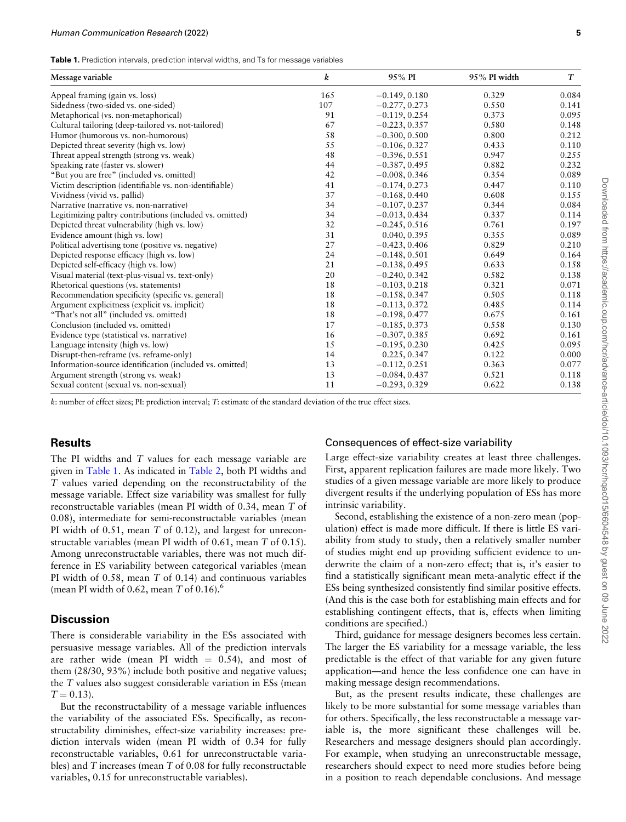|  | <b>Table 1.</b> Prediction intervals, prediction interval widths, and Ts for message variables |  |  |  |  |  |  |  |  |
|--|------------------------------------------------------------------------------------------------|--|--|--|--|--|--|--|--|
|--|------------------------------------------------------------------------------------------------|--|--|--|--|--|--|--|--|

| Message variable                                         | $\boldsymbol{k}$ | 95% PI          | 95% PI width | $T_{\rm}$ |
|----------------------------------------------------------|------------------|-----------------|--------------|-----------|
| Appeal framing (gain vs. loss)                           | 165              | $-0.149, 0.180$ | 0.329        | 0.084     |
| Sidedness (two-sided vs. one-sided)                      | 107              | $-0.277, 0.273$ | 0.550        | 0.141     |
| Metaphorical (vs. non-metaphorical)                      | 91               | $-0.119, 0.254$ | 0.373        | 0.095     |
| Cultural tailoring (deep-tailored vs. not-tailored)      | 67               | $-0.223, 0.357$ | 0.580        | 0.148     |
| Humor (humorous vs. non-humorous)                        | 58               | $-0.300, 0.500$ | 0.800        | 0.212     |
| Depicted threat severity (high vs. low)                  | 55               | $-0.106, 0.327$ | 0.433        | 0.110     |
| Threat appeal strength (strong vs. weak)                 | 48               | $-0.396, 0.551$ | 0.947        | 0.255     |
| Speaking rate (faster vs. slower)                        | 44               | $-0.387, 0.495$ | 0.882        | 0.232     |
| "But you are free" (included vs. omitted)                | 42               | $-0.008, 0.346$ | 0.354        | 0.089     |
| Victim description (identifiable vs. non-identifiable)   | 41               | $-0.174, 0.273$ | 0.447        | 0.110     |
| Vividness (vivid vs. pallid)                             | 37               | $-0.168, 0.440$ | 0.608        | 0.155     |
| Narrative (narrative vs. non-narrative)                  | 34               | $-0.107, 0.237$ | 0.344        | 0.084     |
| Legitimizing paltry contributions (included vs. omitted) | 34               | $-0.013, 0.434$ | 0.337        | 0.114     |
| Depicted threat vulnerability (high vs. low)             | 32               | $-0.245, 0.516$ | 0.761        | 0.197     |
| Evidence amount (high vs. low)                           | 31               | 0.040, 0.395    | 0.355        | 0.089     |
| Political advertising tone (positive vs. negative)       | 27               | $-0.423, 0.406$ | 0.829        | 0.210     |
| Depicted response efficacy (high vs. low)                | 24               | $-0.148, 0.501$ | 0.649        | 0.164     |
| Depicted self-efficacy (high vs. low)                    | 21               | $-0.138, 0.495$ | 0.633        | 0.158     |
| Visual material (text-plus-visual vs. text-only)         | 20               | $-0.240, 0.342$ | 0.582        | 0.138     |
| Rhetorical questions (vs. statements)                    | 18               | $-0.103, 0.218$ | 0.321        | 0.071     |
| Recommendation specificity (specific vs. general)        | 18               | $-0.158, 0.347$ | 0.505        | 0.118     |
| Argument explicitness (explicit vs. implicit)            | 18               | $-0.113, 0.372$ | 0.485        | 0.114     |
| "That's not all" (included vs. omitted)                  | 18               | $-0.198, 0.477$ | 0.675        | 0.161     |
| Conclusion (included vs. omitted)                        | 17               | $-0.185, 0.373$ | 0.558        | 0.130     |
| Evidence type (statistical vs. narrative)                | 16               | $-0.307, 0.385$ | 0.692        | 0.161     |
| Language intensity (high vs. low)                        | 15               | $-0.195, 0.230$ | 0.425        | 0.095     |
| Disrupt-then-reframe (vs. reframe-only)                  | 14               | 0.225, 0.347    | 0.122        | 0.000     |
| Information-source identification (included vs. omitted) | 13               | $-0.112, 0.251$ | 0.363        | 0.077     |
| Argument strength (strong vs. weak)                      | 13               | $-0.084, 0.437$ | 0.521        | 0.118     |
| Sexual content (sexual vs. non-sexual)                   | 11               | $-0.293, 0.329$ | 0.622        | 0.138     |

k: number of effect sizes; PI: prediction interval; T: estimate of the standard deviation of the true effect sizes.

# **Results**

The PI widths and T values for each message variable are given in Table 1. As indicated in [Table 2](#page-5-0), both PI widths and T values varied depending on the reconstructability of the message variable. Effect size variability was smallest for fully reconstructable variables (mean PI width of 0.34, mean T of 0.08), intermediate for semi-reconstructable variables (mean PI width of 0.51, mean T of 0.12), and largest for unreconstructable variables (mean PI width of 0.61, mean T of 0.15). Among unreconstructable variables, there was not much difference in ES variability between categorical variables (mean PI width of 0.58, mean T of 0.14) and continuous variables (mean PI width of 0.62, mean  $T$  of 0.16).<sup>6</sup>

# **Discussion**

There is considerable variability in the ESs associated with persuasive message variables. All of the prediction intervals are rather wide (mean PI width  $= 0.54$ ), and most of them (28/30, 93%) include both positive and negative values; the T values also suggest considerable variation in ESs (mean  $T = 0.13$ .

But the reconstructability of a message variable influences the variability of the associated ESs. Specifically, as reconstructability diminishes, effect-size variability increases: prediction intervals widen (mean PI width of 0.34 for fully reconstructable variables, 0.61 for unreconstructable variables) and T increases (mean T of 0.08 for fully reconstructable variables, 0.15 for unreconstructable variables).

#### Consequences of effect-size variability

Large effect-size variability creates at least three challenges. First, apparent replication failures are made more likely. Two studies of a given message variable are more likely to produce divergent results if the underlying population of ESs has more intrinsic variability.

Second, establishing the existence of a non-zero mean (population) effect is made more difficult. If there is little ES variability from study to study, then a relatively smaller number of studies might end up providing sufficient evidence to underwrite the claim of a non-zero effect; that is, it's easier to find a statistically significant mean meta-analytic effect if the ESs being synthesized consistently find similar positive effects. (And this is the case both for establishing main effects and for establishing contingent effects, that is, effects when limiting conditions are specified.)

Third, guidance for message designers becomes less certain. The larger the ES variability for a message variable, the less predictable is the effect of that variable for any given future application—and hence the less confidence one can have in making message design recommendations.

But, as the present results indicate, these challenges are likely to be more substantial for some message variables than for others. Specifically, the less reconstructable a message variable is, the more significant these challenges will be. Researchers and message designers should plan accordingly. For example, when studying an unreconstructable message, researchers should expect to need more studies before being in a position to reach dependable conclusions. And message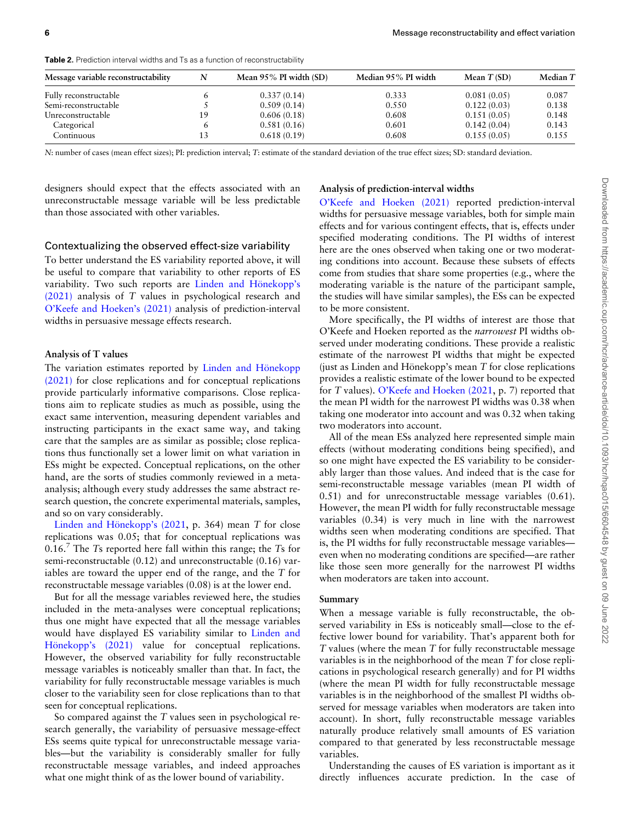| Message variable reconstructability | N  | Mean $95\%$ PI width (SD) | Median 95% PI width | Mean $T(SD)$ | Median T |
|-------------------------------------|----|---------------------------|---------------------|--------------|----------|
| Fully reconstructable               |    | 0.337(0.14)               | 0.333               | 0.081(0.05)  | 0.087    |
| Semi-reconstructable                |    | 0.509(0.14)               | 0.550               | 0.122(0.03)  | 0.138    |
| Unreconstructable                   | 19 | 0.606(0.18)               | 0.608               | 0.151(0.05)  | 0.148    |
| Categorical                         | 6  | 0.581(0.16)               | 0.601               | 0.142(0.04)  | 0.143    |
| Continuous                          | 13 | 0.618(0.19)               | 0.608               | 0.155(0.05)  | 0.155    |

<span id="page-5-0"></span>Table 2. Prediction interval widths and Ts as a function of reconstructability

N: number of cases (mean effect sizes); PI: prediction interval; T: estimate of the standard deviation of the true effect sizes; SD: standard deviation.

designers should expect that the effects associated with an unreconstructable message variable will be less predictable than those associated with other variables.

# Analysis of prediction-interval widths

#### Contextualizing the observed effect-size variability

To better understand the ES variability reported above, it will be useful to compare that variability to other reports of ES variability. Two such reports are Linden and Hönekopp's [\(2021\)](#page-9-0) analysis of T values in psychological research and [O'Keefe and Hoeken's \(2021\)](#page-9-0) analysis of prediction-interval widths in persuasive message effects research.

#### Analysis of T values

The variation estimates reported by Linden and Hönekopp [\(2021\)](#page-9-0) for close replications and for conceptual replications provide particularly informative comparisons. Close replications aim to replicate studies as much as possible, using the exact same intervention, measuring dependent variables and instructing participants in the exact same way, and taking care that the samples are as similar as possible; close replications thus functionally set a lower limit on what variation in ESs might be expected. Conceptual replications, on the other hand, are the sorts of studies commonly reviewed in a metaanalysis; although every study addresses the same abstract research question, the concrete experimental materials, samples, and so on vary considerably.

Linden and Hönekopp's  $(2021, p. 364)$  mean T for close replications was 0.05; that for conceptual replications was  $0.16<sup>7</sup>$  The Ts reported here fall within this range; the Ts for semi-reconstructable (0.12) and unreconstructable (0.16) variables are toward the upper end of the range, and the T for reconstructable message variables (0.08) is at the lower end.

But for all the message variables reviewed here, the studies included in the meta-analyses were conceptual replications; thus one might have expected that all the message variables would have displayed ES variability similar to [Linden and](#page-9-0) Hönekopp's (2021) value for conceptual replications. However, the observed variability for fully reconstructable message variables is noticeably smaller than that. In fact, the variability for fully reconstructable message variables is much closer to the variability seen for close replications than to that seen for conceptual replications.

So compared against the T values seen in psychological research generally, the variability of persuasive message-effect ESs seems quite typical for unreconstructable message variables—but the variability is considerably smaller for fully reconstructable message variables, and indeed approaches what one might think of as the lower bound of variability.

[O'Keefe and Hoeken \(2021\)](#page-9-0) reported prediction-interval widths for persuasive message variables, both for simple main effects and for various contingent effects, that is, effects under specified moderating conditions. The PI widths of interest here are the ones observed when taking one or two moderating conditions into account. Because these subsets of effects come from studies that share some properties (e.g., where the moderating variable is the nature of the participant sample, the studies will have similar samples), the ESs can be expected to be more consistent.

More specifically, the PI widths of interest are those that O'Keefe and Hoeken reported as the narrowest PI widths observed under moderating conditions. These provide a realistic estimate of the narrowest PI widths that might be expected (just as Linden and Hönekopp's mean  $T$  for close replications provides a realistic estimate of the lower bound to be expected for T values). [O'Keefe and Hoeken \(2021,](#page-9-0) p. 7) reported that the mean PI width for the narrowest PI widths was 0.38 when taking one moderator into account and was 0.32 when taking two moderators into account.

All of the mean ESs analyzed here represented simple main effects (without moderating conditions being specified), and so one might have expected the ES variability to be considerably larger than those values. And indeed that is the case for semi-reconstructable message variables (mean PI width of 0.51) and for unreconstructable message variables (0.61). However, the mean PI width for fully reconstructable message variables (0.34) is very much in line with the narrowest widths seen when moderating conditions are specified. That is, the PI widths for fully reconstructable message variables even when no moderating conditions are specified—are rather like those seen more generally for the narrowest PI widths when moderators are taken into account.

#### Summary

When a message variable is fully reconstructable, the observed variability in ESs is noticeably small—close to the effective lower bound for variability. That's apparent both for T values (where the mean T for fully reconstructable message variables is in the neighborhood of the mean T for close replications in psychological research generally) and for PI widths (where the mean PI width for fully reconstructable message variables is in the neighborhood of the smallest PI widths observed for message variables when moderators are taken into account). In short, fully reconstructable message variables naturally produce relatively small amounts of ES variation compared to that generated by less reconstructable message variables.

Understanding the causes of ES variation is important as it directly influences accurate prediction. In the case of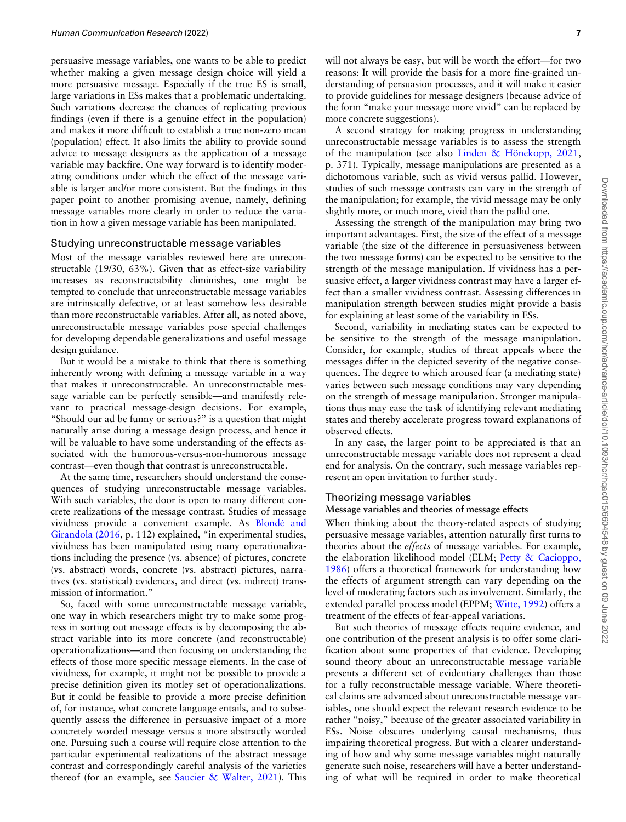persuasive message variables, one wants to be able to predict whether making a given message design choice will yield a more persuasive message. Especially if the true ES is small, large variations in ESs makes that a problematic undertaking. Such variations decrease the chances of replicating previous findings (even if there is a genuine effect in the population) and makes it more difficult to establish a true non-zero mean (population) effect. It also limits the ability to provide sound advice to message designers as the application of a message variable may backfire. One way forward is to identify moderating conditions under which the effect of the message variable is larger and/or more consistent. But the findings in this paper point to another promising avenue, namely, defining message variables more clearly in order to reduce the variation in how a given message variable has been manipulated.

#### Studying unreconstructable message variables

Most of the message variables reviewed here are unreconstructable (19/30, 63%). Given that as effect-size variability increases as reconstructability diminishes, one might be tempted to conclude that unreconstructable message variables are intrinsically defective, or at least somehow less desirable than more reconstructable variables. After all, as noted above, unreconstructable message variables pose special challenges for developing dependable generalizations and useful message design guidance.

But it would be a mistake to think that there is something inherently wrong with defining a message variable in a way that makes it unreconstructable. An unreconstructable message variable can be perfectly sensible—and manifestly relevant to practical message-design decisions. For example, "Should our ad be funny or serious?" is a question that might naturally arise during a message design process, and hence it will be valuable to have some understanding of the effects associated with the humorous-versus-non-humorous message contrast—even though that contrast is unreconstructable.

At the same time, researchers should understand the consequences of studying unreconstructable message variables. With such variables, the door is open to many different concrete realizations of the message contrast. Studies of message vividness provide a convenient example. As [Blond](#page-8-0)é [and](#page-8-0) [Girandola \(2016](#page-8-0), p. 112) explained, "in experimental studies, vividness has been manipulated using many operationalizations including the presence (vs. absence) of pictures, concrete (vs. abstract) words, concrete (vs. abstract) pictures, narratives (vs. statistical) evidences, and direct (vs. indirect) transmission of information."

So, faced with some unreconstructable message variable, one way in which researchers might try to make some progress in sorting out message effects is by decomposing the abstract variable into its more concrete (and reconstructable) operationalizations—and then focusing on understanding the effects of those more specific message elements. In the case of vividness, for example, it might not be possible to provide a precise definition given its motley set of operationalizations. But it could be feasible to provide a more precise definition of, for instance, what concrete language entails, and to subsequently assess the difference in persuasive impact of a more concretely worded message versus a more abstractly worded one. Pursuing such a course will require close attention to the particular experimental realizations of the abstract message contrast and correspondingly careful analysis of the varieties thereof (for an example, see [Saucier & Walter, 2021\)](#page-9-0). This will not always be easy, but will be worth the effort—for two reasons: It will provide the basis for a more fine-grained understanding of persuasion processes, and it will make it easier to provide guidelines for message designers (because advice of the form "make your message more vivid" can be replaced by more concrete suggestions).

A second strategy for making progress in understanding unreconstructable message variables is to assess the strength of the manipulation (see also [Linden](#page-9-0) & Hönekopp,  $2021$ , p. 371). Typically, message manipulations are presented as a dichotomous variable, such as vivid versus pallid. However, studies of such message contrasts can vary in the strength of the manipulation; for example, the vivid message may be only slightly more, or much more, vivid than the pallid one.

Assessing the strength of the manipulation may bring two important advantages. First, the size of the effect of a message variable (the size of the difference in persuasiveness between the two message forms) can be expected to be sensitive to the strength of the message manipulation. If vividness has a persuasive effect, a larger vividness contrast may have a larger effect than a smaller vividness contrast. Assessing differences in manipulation strength between studies might provide a basis for explaining at least some of the variability in ESs.

Second, variability in mediating states can be expected to be sensitive to the strength of the message manipulation. Consider, for example, studies of threat appeals where the messages differ in the depicted severity of the negative consequences. The degree to which aroused fear (a mediating state) varies between such message conditions may vary depending on the strength of message manipulation. Stronger manipulations thus may ease the task of identifying relevant mediating states and thereby accelerate progress toward explanations of observed effects.

In any case, the larger point to be appreciated is that an unreconstructable message variable does not represent a dead end for analysis. On the contrary, such message variables represent an open invitation to further study.

#### Theorizing message variables

#### Message variables and theories of message effects

When thinking about the theory-related aspects of studying persuasive message variables, attention naturally first turns to theories about the effects of message variables. For example, the elaboration likelihood model (ELM; [Petty & Cacioppo,](#page-9-0) [1986\)](#page-9-0) offers a theoretical framework for understanding how the effects of argument strength can vary depending on the level of moderating factors such as involvement. Similarly, the extended parallel process model (EPPM; [Witte, 1992\)](#page-9-0) offers a treatment of the effects of fear-appeal variations.

But such theories of message effects require evidence, and one contribution of the present analysis is to offer some clarification about some properties of that evidence. Developing sound theory about an unreconstructable message variable presents a different set of evidentiary challenges than those for a fully reconstructable message variable. Where theoretical claims are advanced about unreconstructable message variables, one should expect the relevant research evidence to be rather "noisy," because of the greater associated variability in ESs. Noise obscures underlying causal mechanisms, thus impairing theoretical progress. But with a clearer understanding of how and why some message variables might naturally generate such noise, researchers will have a better understanding of what will be required in order to make theoretical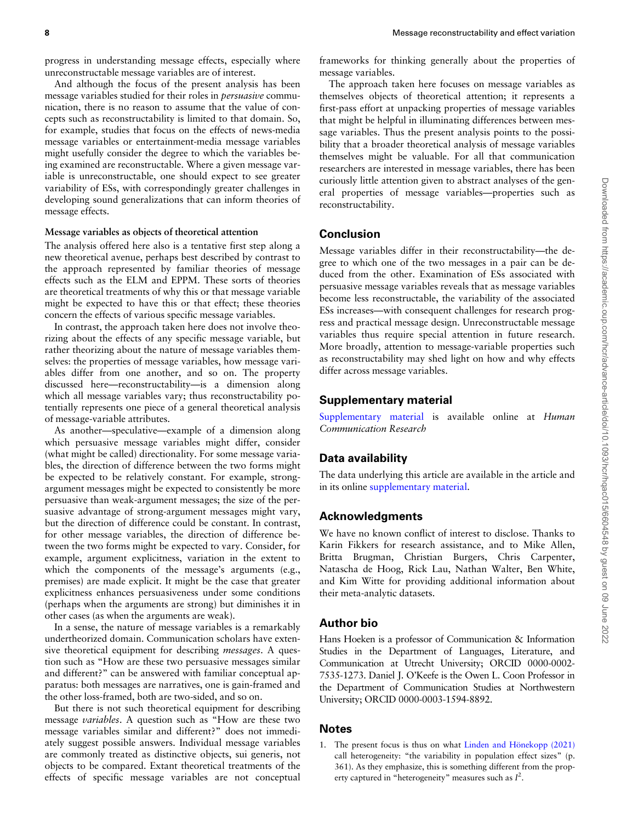progress in understanding message effects, especially where unreconstructable message variables are of interest.

And although the focus of the present analysis has been message variables studied for their roles in persuasive communication, there is no reason to assume that the value of concepts such as reconstructability is limited to that domain. So, for example, studies that focus on the effects of news-media message variables or entertainment-media message variables might usefully consider the degree to which the variables being examined are reconstructable. Where a given message variable is unreconstructable, one should expect to see greater variability of ESs, with correspondingly greater challenges in developing sound generalizations that can inform theories of message effects.

# Message variables as objects of theoretical attention

The analysis offered here also is a tentative first step along a new theoretical avenue, perhaps best described by contrast to the approach represented by familiar theories of message effects such as the ELM and EPPM. These sorts of theories are theoretical treatments of why this or that message variable might be expected to have this or that effect; these theories concern the effects of various specific message variables.

In contrast, the approach taken here does not involve theorizing about the effects of any specific message variable, but rather theorizing about the nature of message variables themselves: the properties of message variables, how message variables differ from one another, and so on. The property discussed here—reconstructability—is a dimension along which all message variables vary; thus reconstructability potentially represents one piece of a general theoretical analysis of message-variable attributes.

As another—speculative—example of a dimension along which persuasive message variables might differ, consider (what might be called) directionality. For some message variables, the direction of difference between the two forms might be expected to be relatively constant. For example, strongargument messages might be expected to consistently be more persuasive than weak-argument messages; the size of the persuasive advantage of strong-argument messages might vary, but the direction of difference could be constant. In contrast, for other message variables, the direction of difference between the two forms might be expected to vary. Consider, for example, argument explicitness, variation in the extent to which the components of the message's arguments (e.g., premises) are made explicit. It might be the case that greater explicitness enhances persuasiveness under some conditions (perhaps when the arguments are strong) but diminishes it in other cases (as when the arguments are weak).

In a sense, the nature of message variables is a remarkably undertheorized domain. Communication scholars have extensive theoretical equipment for describing messages. A question such as "How are these two persuasive messages similar and different?" can be answered with familiar conceptual apparatus: both messages are narratives, one is gain-framed and the other loss-framed, both are two-sided, and so on.

But there is not such theoretical equipment for describing message variables. A question such as "How are these two message variables similar and different?" does not immediately suggest possible answers. Individual message variables are commonly treated as distinctive objects, sui generis, not objects to be compared. Extant theoretical treatments of the effects of specific message variables are not conceptual frameworks for thinking generally about the properties of message variables.

The approach taken here focuses on message variables as themselves objects of theoretical attention; it represents a first-pass effort at unpacking properties of message variables that might be helpful in illuminating differences between message variables. Thus the present analysis points to the possibility that a broader theoretical analysis of message variables themselves might be valuable. For all that communication researchers are interested in message variables, there has been curiously little attention given to abstract analyses of the general properties of message variables—properties such as reconstructability.

# **Conclusion**

Message variables differ in their reconstructability—the degree to which one of the two messages in a pair can be deduced from the other. Examination of ESs associated with persuasive message variables reveals that as message variables become less reconstructable, the variability of the associated ESs increases—with consequent challenges for research progress and practical message design. Unreconstructable message variables thus require special attention in future research. More broadly, attention to message-variable properties such as reconstructability may shed light on how and why effects differ across message variables.

### Supplementary material

[Supplementary material](https://academic.oup.com/hcr/article-lookup/doi/10.1093/hcr/hqac015#supplementary-data) is available online at Human Communication Research

# Data availability

The data underlying this article are available in the article and in its online [supplementary material](https://academic.oup.com/hcr/article-lookup/doi/10.1093/hcr/hqac015#supplementary-data).

# Acknowledgments

We have no known conflict of interest to disclose. Thanks to Karin Fikkers for research assistance, and to Mike Allen, Britta Brugman, Christian Burgers, Chris Carpenter, Natascha de Hoog, Rick Lau, Nathan Walter, Ben White, and Kim Witte for providing additional information about their meta-analytic datasets.

# Author bio

Hans Hoeken is a professor of Communication & Information Studies in the Department of Languages, Literature, and Communication at Utrecht University; ORCID 0000-0002- 7535-1273. Daniel J. O'Keefe is the Owen L. Coon Professor in the Department of Communication Studies at Northwestern University; ORCID 0000-0003-1594-8892.

# **Notes**

1. The present focus is thus on what Linden and Hönekopp  $(2021)$ call heterogeneity: "the variability in population effect sizes" (p. 361). As they emphasize, this is something different from the property captured in "heterogeneity" measures such as  $I^2$ .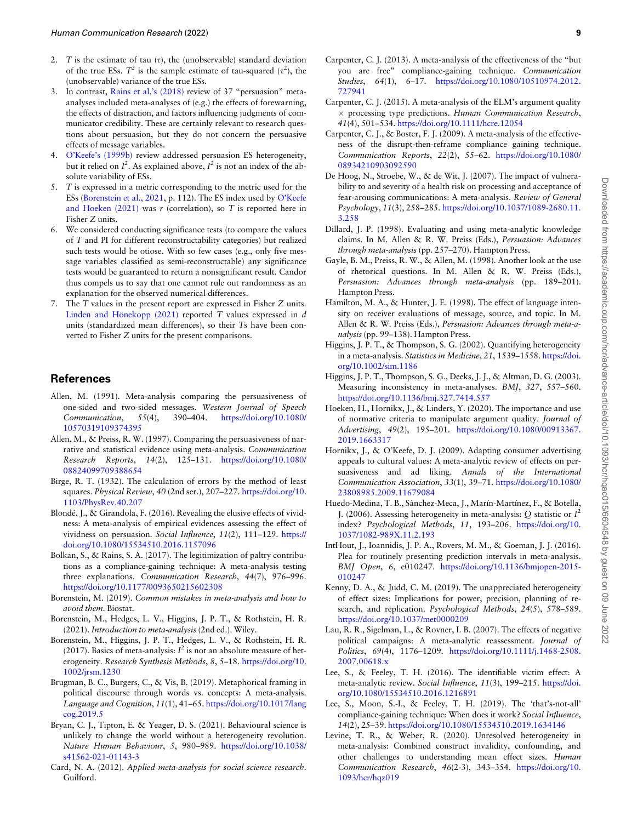- <span id="page-8-0"></span>2. T is the estimate of tau  $(\tau)$ , the (unobservable) standard deviation of the true ESs.  $T^2$  is the sample estimate of tau-squared  $(\tau^2)$ , the (unobservable) variance of the true ESs.
- 3. In contrast, [Rains et al.'s \(2018\)](#page-9-0) review of 37 "persuasion" metaanalyses included meta-analyses of (e.g.) the effects of forewarning, the effects of distraction, and factors influencing judgments of communicator credibility. These are certainly relevant to research questions about persuasion, but they do not concern the persuasive effects of message variables.
- 4. [O'Keefe's \(1999b\)](#page-9-0) review addressed persuasion ES heterogeneity, but it relied on  $I^2$ . As explained above,  $I^2$  is not an index of the absolute variability of ESs.
- 5. T is expressed in a metric corresponding to the metric used for the ESs (Borenstein et al., 2021, p. 112). The ES index used by [O'Keefe](#page-9-0) and Hoeken  $(2021)$  was r (correlation), so T is reported here in Fisher Z units.
- 6. We considered conducting significance tests (to compare the values of T and PI for different reconstructability categories) but realized such tests would be otiose. With so few cases (e.g., only five message variables classified as semi-reconstructable) any significance tests would be guaranteed to return a nonsignificant result. Candor thus compels us to say that one cannot rule out randomness as an explanation for the observed numerical differences.
- 7. The T values in the present report are expressed in Fisher Z units. Linden and Hönekopp (2021) reported  $T$  values expressed in  $d$ units (standardized mean differences), so their Ts have been converted to Fisher Z units for the present comparisons.

# **References**

- Allen, M. (1991). Meta-analysis comparing the persuasiveness of one-sided and two-sided messages. Western Journal of Speech Communication, 55(4), 390–404. [https://doi.org/10.1080/](https://doi.org/10.1080/10570319109374395) [10570319109374395](https://doi.org/10.1080/10570319109374395)
- Allen, M., & Preiss, R. W. (1997). Comparing the persuasiveness of narrative and statistical evidence using meta-analysis. Communication Research Reports, 14(2), 125–131. [https://doi.org/10.1080/](https://doi.org/10.1080/08824099709388654) [08824099709388654](https://doi.org/10.1080/08824099709388654)
- Birge, R. T. (1932). The calculation of errors by the method of least squares. Physical Review, 40 (2nd ser.), 207–227. [https://doi.org/10.](https://doi.org/10.1103/PhysRev.40.207) [1103/PhysRev.40.207](https://doi.org/10.1103/PhysRev.40.207)
- Blondé, J., & Girandola, F. (2016). Revealing the elusive effects of vividness: A meta-analysis of empirical evidences assessing the effect of vividness on persuasion. Social Influence, 11(2), 111–129. [https://](https://doi.org/10.1080/15534510.2016.1157096) [doi.org/10.1080/15534510.2016.1157096](https://doi.org/10.1080/15534510.2016.1157096)
- Bolkan, S., & Rains, S. A. (2017). The legitimization of paltry contributions as a compliance-gaining technique: A meta-analysis testing three explanations. Communication Research, 44(7), 976–996. <https://doi.org/10.1177/0093650215602308>
- Borenstein, M. (2019). Common mistakes in meta-analysis and how to avoid them. Biostat.
- Borenstein, M., Hedges, L. V., Higgins, J. P. T., & Rothstein, H. R. (2021). Introduction to meta-analysis (2nd ed.). Wiley.
- Borenstein, M., Higgins, J. P. T., Hedges, L. V., & Rothstein, H. R. (2017). Basics of meta-analysis:  $I^2$  is not an absolute measure of heterogeneity. Research Synthesis Methods, 8, 5–18. [https://doi.org/10.](https://doi.org/10.1002/jrsm.1230) [1002/jrsm.1230](https://doi.org/10.1002/jrsm.1230)
- Brugman, B. C., Burgers, C., & Vis, B. (2019). Metaphorical framing in political discourse through words vs. concepts: A meta-analysis. Language and Cognition, 11(1), 41–65. [https://doi.org/10.1017/lang](https://doi.org/10.1017/langcog.2019.5) [cog.2019.5](https://doi.org/10.1017/langcog.2019.5)
- Bryan, C. J., Tipton, E. & Yeager, D. S. (2021). Behavioural science is unlikely to change the world without a heterogeneity revolution. Nature Human Behaviour, 5, 980–989. [https://doi.org/10.1038/](https://doi.org/10.1038/s41562-021-01143-3) [s41562-021-01143-3](https://doi.org/10.1038/s41562-021-01143-3)
- Card, N. A. (2012). Applied meta-analysis for social science research. Guilford.
- Carpenter, C. J. (2013). A meta-analysis of the effectiveness of the "but you are free" compliance-gaining technique. Communication Studies, 64(1), 6–17. [https://doi.org/10.1080/10510974.2012.](https://doi.org/10.1080/10510974.2012.727941) [727941](https://doi.org/10.1080/10510974.2012.727941)
- Carpenter, C. J. (2015). A meta-analysis of the ELM's argument quality  $\times$  processing type predictions. Human Communication Research, 41(4), 501–534. <https://doi.org/10.1111/hcre.12054>
- Carpenter, C. J., & Boster, F. J. (2009). A meta-analysis of the effectiveness of the disrupt-then-reframe compliance gaining technique. Communication Reports, 22(2), 55–62. [https://doi.org/10.1080/](https://doi.org/10.1080/08934210903092590) [08934210903092590](https://doi.org/10.1080/08934210903092590)
- De Hoog, N., Stroebe, W., & de Wit, J. (2007). The impact of vulnerability to and severity of a health risk on processing and acceptance of fear-arousing communications: A meta-analysis. Review of General Psychology, 11(3), 258–285. [https://doi.org/10.1037/1089-2680.11.](https://doi.org/10.1037/1089-2680.11.3.258) [3.258](https://doi.org/10.1037/1089-2680.11.3.258)
- Dillard, J. P. (1998). Evaluating and using meta-analytic knowledge claims. In M. Allen & R. W. Preiss (Eds.), Persuasion: Advances through meta-analysis (pp. 257–270). Hampton Press.
- Gayle, B. M., Preiss, R. W., & Allen, M. (1998). Another look at the use of rhetorical questions. In M. Allen & R. W. Preiss (Eds.), Persuasion: Advances through meta-analysis (pp. 189–201). Hampton Press.
- Hamilton, M. A., & Hunter, J. E. (1998). The effect of language intensity on receiver evaluations of message, source, and topic. In M. Allen & R. W. Preiss (Eds.), Persuasion: Advances through meta-analysis (pp. 99–138). Hampton Press.
- Higgins, J. P. T., & Thompson, S. G. (2002). Quantifying heterogeneity in a meta-analysis. Statistics in Medicine, 21, 1539-1558. [https://doi.](https://doi.org/10.1002/sim.1186) [org/10.1002/sim.1186](https://doi.org/10.1002/sim.1186)
- Higgins, J. P. T., Thompson, S. G., Deeks, J. J., & Altman, D. G. (2003). Measuring inconsistency in meta-analyses. BMJ, 327, 557–560. <https://doi.org/10.1136/bmj.327.7414.557>
- Hoeken, H., Hornikx, J., & Linders, Y. (2020). The importance and use of normative criteria to manipulate argument quality. Journal of Advertising, 49(2), 195–201. [https://doi.org/10.1080/00913367.](https://doi.org/10.1080/00913367.2019.1663317) [2019.1663317](https://doi.org/10.1080/00913367.2019.1663317)
- Hornikx, J., & O'Keefe, D. J. (2009). Adapting consumer advertising appeals to cultural values: A meta-analytic review of effects on persuasiveness and ad liking. Annals of the International Communication Association, 33(1), 39–71. [https://doi.org/10.1080/](https://doi.org/10.1080/23808985.2009.11679084) [23808985.2009.11679084](https://doi.org/10.1080/23808985.2009.11679084)
- Huedo-Medina, T. B., Sánchez-Meca, J., Marín-Martínez, F., & Botella, J. (2006). Assessing heterogeneity in meta-analysis: Q statistic or  $I^2$ index? Psychological Methods, 11, 193–206. [https://doi.org/10.](https://doi.org/10.1037/1082-989X.11.2.193) [1037/1082-989X.11.2.193](https://doi.org/10.1037/1082-989X.11.2.193)
- IntHout, J., Ioannidis, J. P. A., Rovers, M. M., & Goeman, J. J. (2016). Plea for routinely presenting prediction intervals in meta-analysis. BMJ Open, 6, e010247. [https://doi.org/10.1136/bmjopen-2015-](https://doi.org/10.1136/bmjopen-2015-010247) [010247](https://doi.org/10.1136/bmjopen-2015-010247)
- Kenny, D. A., & Judd, C. M. (2019). The unappreciated heterogeneity of effect sizes: Implications for power, precision, planning of research, and replication. Psychological Methods, 24(5), 578-589. <https://doi.org/10.1037/met0000209>
- Lau, R. R., Sigelman, L., & Rovner, I. B. (2007). The effects of negative political campaigns: A meta-analytic reassessment. Journal of Politics, 69(4), 1176–1209. [https://doi.org/10.1111/j.1468-2508.](https://doi.org/10.1111/j.1468-2508.2007.00618.x) [2007.00618.x](https://doi.org/10.1111/j.1468-2508.2007.00618.x)
- Lee, S., & Feeley, T. H. (2016). The identifiable victim effect: A meta-analytic review. Social Influence, 11(3), 199-215. [https://doi.](https://doi.org/10.1080/15534510.2016.1216891) [org/10.1080/15534510.2016.1216891](https://doi.org/10.1080/15534510.2016.1216891)
- Lee, S., Moon, S.-I., & Feeley, T. H. (2019). The 'that's-not-all' compliance-gaining technique: When does it work? Social Influence, 14(2), 25–39. <https://doi.org/10.1080/15534510.2019.1634146>
- Levine, T. R., & Weber, R. (2020). Unresolved heterogeneity in meta-analysis: Combined construct invalidity, confounding, and other challenges to understanding mean effect sizes. Human Communication Research, 46(2-3), 343–354. [https://doi.org/10.](https://doi.org/10.1093/hcr/hqz019) [1093/hcr/hqz019](https://doi.org/10.1093/hcr/hqz019)